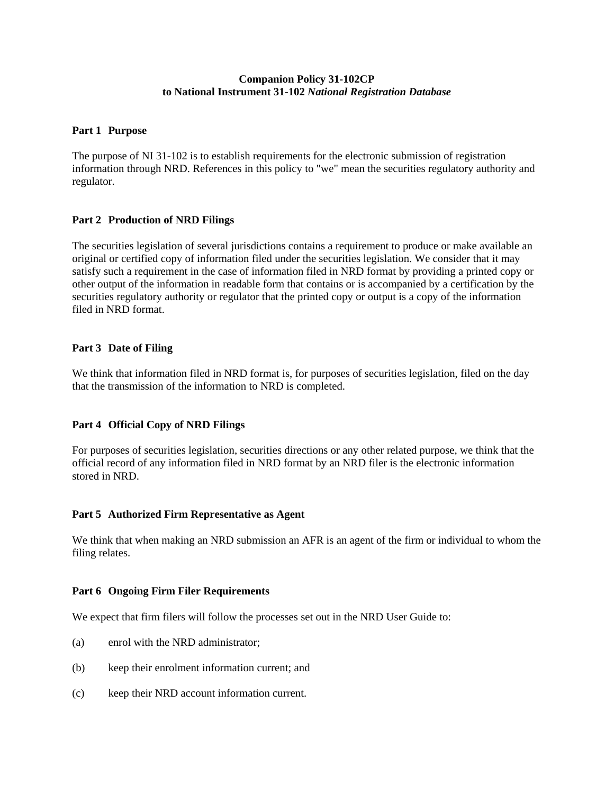# **Companion Policy 31-102CP to National Instrument 31-102** *National Registration Database*

#### **Part 1 Purpose**

The purpose of NI 31-102 is to establish requirements for the electronic submission of registration information through NRD. References in this policy to "we" mean the securities regulatory authority and regulator.

# **Part 2 Production of NRD Filings**

The securities legislation of several jurisdictions contains a requirement to produce or make available an original or certified copy of information filed under the securities legislation. We consider that it may satisfy such a requirement in the case of information filed in NRD format by providing a printed copy or other output of the information in readable form that contains or is accompanied by a certification by the securities regulatory authority or regulator that the printed copy or output is a copy of the information filed in NRD format.

# **Part 3 Date of Filing**

We think that information filed in NRD format is, for purposes of securities legislation, filed on the day that the transmission of the information to NRD is completed.

# **Part 4 Official Copy of NRD Filings**

For purposes of securities legislation, securities directions or any other related purpose, we think that the official record of any information filed in NRD format by an NRD filer is the electronic information stored in NRD.

# **Part 5 Authorized Firm Representative as Agent**

We think that when making an NRD submission an AFR is an agent of the firm or individual to whom the filing relates.

#### **Part 6 Ongoing Firm Filer Requirements**

We expect that firm filers will follow the processes set out in the NRD User Guide to:

- (a) enrol with the NRD administrator;
- (b) keep their enrolment information current; and
- (c) keep their NRD account information current.